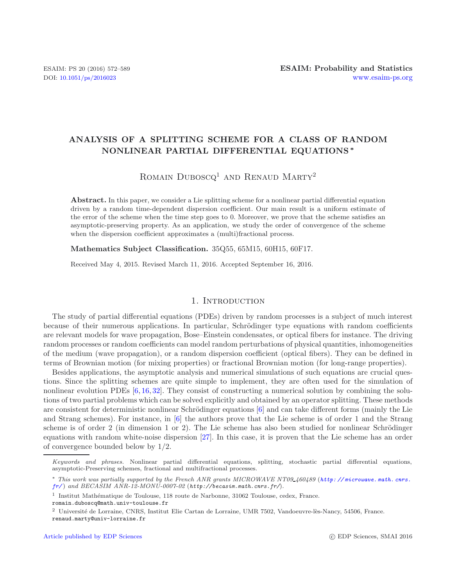# **ANALYSIS OF A SPLITTING SCHEME FOR A CLASS OF RANDOM NONLINEAR PARTIAL DIFFERENTIAL EQUATIONS** *∗*

ROMAIN DUBOSCQ<sup>1</sup> AND RENAUD MARTY<sup>2</sup>

Abstract. In this paper, we consider a Lie splitting scheme for a nonlinear partial differential equation driven by a random time-dependent dispersion coefficient. Our main result is a uniform estimate of the error of the scheme when the time step goes to 0. Moreover, we prove that the scheme satisfies an asymptotic-preserving property. As an application, we study the order of convergence of the scheme when the dispersion coefficient approximates a (multi)fractional process.

**Mathematics Subject Classification.** 35Q55, 65M15, 60H15, 60F17.

Received May 4, 2015. Revised March 11, 2016. Accepted September 16, 2016.

#### 1. INTRODUCTION

The study of partial differential equations (PDEs) driven by random processes is a subject of much interest because of their numerous applications. In particular, Schrödinger type equations with random coefficients are relevant models for wave propagation, Bose–Einstein condensates, or optical fibers for instance. The driving random processes or random coefficients can model random perturbations of physical quantities, inhomogeneities of the medium (wave propagation), or a random dispersion coefficient (optical fibers). They can be defined in terms of Brownian motion (for mixing properties) or fractional Brownian motion (for long-range properties).

Besides applications, the asymptotic analysis and numerical simulations of such equations are crucial questions. Since the splitting schemes are quite simple to implement, they are often used for the simulation of nonlinear evolution PDEs [\[6,](#page-16-0) [16,](#page-17-0) [32\]](#page-17-1). They consist of constructing a numerical solution by combining the solutions of two partial problems which can be solved explicitly and obtained by an operator splitting. These methods are consistent for deterministic nonlinear Schrödinger equations  $[6]$  and can take different forms (mainly the Lie and Strang schemes). For instance, in [\[6\]](#page-16-0) the authors prove that the Lie scheme is of order 1 and the Strang scheme is of order 2 (in dimension 1 or 2). The Lie scheme has also been studied for nonlinear Schrödinger equations with random white-noise dispersion [\[27\]](#page-17-2). In this case, it is proven that the Lie scheme has an order of convergence bounded below by 1/2.

*Keywords and phrases.* Nonlinear partial differential equations, splitting, stochastic partial differential equations, asymptotic-Preserving schemes, fractional and multifractional processes.

<sup>∗</sup> *This work was partially supported by the French ANR grants MICROWAVE NT09 460489* (*[http: // microwave. math. cnrs.](http://microwave.math.cnrs.fr/) [fr/](http://microwave.math.cnrs.fr/)* ) *and BECASIM ANR-12-MONU-0007-02* (*http://becasim.math.cnrs.fr/*)*.*

 $^{\rm 1}$ Institut Mathématique de Toulouse, 118 route de Narbonne, 31062 Toulouse, cedex, France.

romain.duboscq@math.univ-toulouse.fr

 $2$  Université de Lorraine, CNRS, Institut Elie Cartan de Lorraine, UMR 7502, Vandoeuvre-lès-Nancy, 54506, France. renaud.marty@univ-lorraine.fr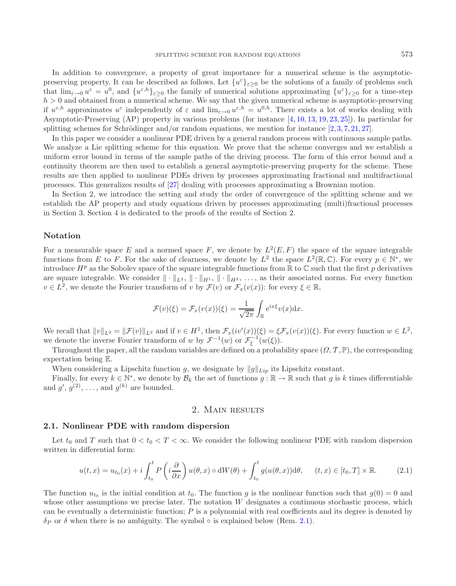In addition to convergence, a property of great importance for a numerical scheme is the asymptoticpreserving property. It can be described as follows. Let  $\{u^{\varepsilon}\}_{{\varepsilon}>0}$  be the solutions of a family of problems such that  $\lim_{\varepsilon\to 0} u^{\varepsilon} = u^0$ , and  $\{u^{\varepsilon,h}\}_{{\varepsilon\geq 0}}$  the family of numerical solutions approximating  $\{u^{\varepsilon}\}_{{\varepsilon\geq 0}}$  for a time-step  $h > 0$  and obtained from a numerical scheme. We say that the given numerical scheme is asymptotic-preserving if  $u^{\varepsilon,h}$  approximates  $u^{\varepsilon}$  independently of  $\varepsilon$  and  $\lim_{\varepsilon\to 0} u^{\varepsilon,h} = u^{0,h}$ . There exists a lot of works dealing with Asymptotic-Preserving (AP) property in various problems (for instance [\[4](#page-16-1), [10,](#page-17-3) [13,](#page-17-4) [19,](#page-17-5) [23](#page-17-6), [25](#page-17-7)]). In particular for splitting schemes for Schrödinger and/or random equations, we mention for instance  $[2, 3, 7, 21, 27]$  $[2, 3, 7, 21, 27]$  $[2, 3, 7, 21, 27]$  $[2, 3, 7, 21, 27]$  $[2, 3, 7, 21, 27]$  $[2, 3, 7, 21, 27]$  $[2, 3, 7, 21, 27]$  $[2, 3, 7, 21, 27]$  $[2, 3, 7, 21, 27]$  $[2, 3, 7, 21, 27]$ .

In this paper we consider a nonlinear PDE driven by a general random process with continuous sample paths. We analyze a Lie splitting scheme for this equation. We prove that the scheme converges and we establish a uniform error bound in terms of the sample paths of the driving process. The form of this error bound and a continuity theorem are then used to establish a general asymptotic-preserving property for the scheme. These results are then applied to nonlinear PDEs driven by processes approximating fractional and multifractional processes. This generalizes results of [\[27](#page-17-2)] dealing with processes approximating a Brownian motion.

In Section 2, we introduce the setting and study the order of convergence of the splitting scheme and we establish the AP property and study equations driven by processes approximating (multi)fractional processes in Section 3. Section 4 is dedicated to the proofs of the results of Section 2.

### **Notation**

For a measurable space E and a normed space F, we denote by  $L^2(E,F)$  the space of the square integrable functions from E to F. For the sake of clearness, we denote by  $L^2$  the space  $L^2(\mathbb{R}, \mathbb{C})$ . For every  $p \in \mathbb{N}^*$ , we introduce  $H^p$  as the Sobolev space of the square integrable functions from  $\mathbb R$  to  $\mathbb C$  such that the first p derivatives are square integrable. We consider  $\|\cdot\|_{L^2}$ ,  $\|\cdot\|_{H^1}$ ,  $\|\cdot\|_{H^2}$ , ..., as their associated norms. For every function  $v \in L^2$ , we denote the Fourier transform of v by  $\mathcal{F}(v)$  or  $\mathcal{F}_x(v(x))$ : for every  $\xi \in \mathbb{R}$ ,

$$
\mathcal{F}(v)(\xi) = \mathcal{F}_x(v(x))(\xi) = \frac{1}{\sqrt{2\pi}} \int_{\mathbb{R}} e^{ix\xi} v(x) dx.
$$

We recall that  $||v||_{L^2} = ||\mathcal{F}(v)||_{L^2}$  and if  $v \in H^1$ , then  $\mathcal{F}_x(iv'(x))(\xi) = \xi \mathcal{F}_x(v(x))(\xi)$ . For every function  $w \in L^2$ , we denote the inverse Fourier transform of w by  $\mathcal{F}^{-1}(w)$  or  $\mathcal{F}^{-1}_{\xi}(w(\xi))$ .<br>Throughout the paper all the random variables are defined on a proba

Throughout the paper, all the random variables are defined on a probability space  $(\Omega, \mathcal{T}, \mathbb{P})$ , the corresponding expectation being E.

When considering a Lipschitz function g, we designate by  $||g||_{Lip}$  its Lipschitz constant.

Finally, for every  $k \in \mathbb{N}^*$ , we denote by  $\mathcal{B}_k$  the set of functions  $g : \mathbb{R} \to \mathbb{R}$  such that g is k times differentiable and  $g'$ ,  $g^{(2)}$ , ..., and  $g^{(k)}$  are bounded.

### 2. Main results

#### **2.1. Nonlinear PDE with random dispersion**

Let  $t_0$  and T such that  $0 < t_0 < T < \infty$ . We consider the following nonlinear PDE with random dispersion written in differential form:

$$
u(t,x) = u_{t_0}(x) + i \int_{t_0}^t P\left(i\frac{\partial}{\partial x}\right)u(\theta,x) \circ dW(\theta) + \int_{t_0}^t g(u(\theta,x))d\theta, \quad (t,x) \in [t_0,T] \times \mathbb{R}.
$$
 (2.1)

<span id="page-1-0"></span>The function  $u_{t_0}$  is the initial condition at  $t_0$ . The function g is the nonlinear function such that  $g(0) = 0$  and whose other assumptions we precise later. The notation W designates a continuous stochastic process, which can be eventually a deterministic function; P is a polynomial with real coefficients and its degree is denoted by  $\delta_P$  or  $\delta$  when there is no ambiguity. The symbol  $\circ$  is explained below (Rem. [2.1\)](#page-2-0).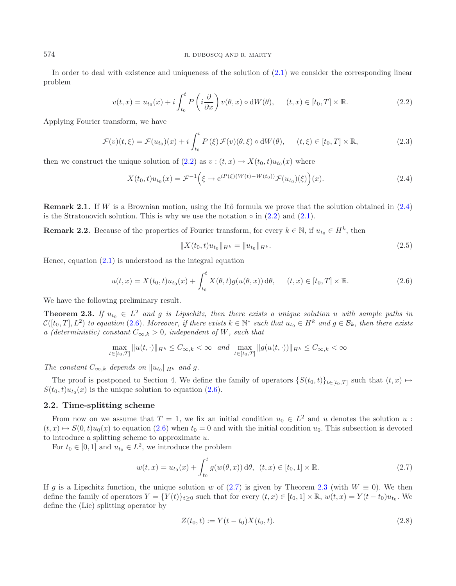<span id="page-2-0"></span>In order to deal with existence and uniqueness of the solution of [\(2.1\)](#page-1-0) we consider the corresponding linear problem

$$
v(t,x) = u_{t_0}(x) + i \int_{t_0}^t P\left(i\frac{\partial}{\partial x}\right) v(\theta, x) \circ dW(\theta), \quad (t,x) \in [t_0, T] \times \mathbb{R}.
$$
 (2.2)

<span id="page-2-1"></span>Applying Fourier transform, we have

$$
\mathcal{F}(v)(t,\xi) = \mathcal{F}(u_{t_0})(x) + i \int_{t_0}^t P(\xi) \mathcal{F}(v)(\theta,\xi) \circ dW(\theta), \quad (t,\xi) \in [t_0,T] \times \mathbb{R}, \tag{2.3}
$$

<span id="page-2-2"></span>then we construct the unique solution of  $(2.2)$  as  $v : (t, x) \to X(t_0, t)u_{t_0}(x)$  where

<span id="page-2-5"></span>
$$
X(t_0, t)u_{t_0}(x) = \mathcal{F}^{-1}\Big(\xi \to e^{iP(\xi)(W(t) - W(t_0))}\mathcal{F}(u_{t_0})(\xi)\Big)(x).
$$
 (2.4)

**Remark 2.1.** If W is a Brownian motion, using the Itô formula we prove that the solution obtained in  $(2.4)$ is the Stratonovich solution. This is why we use the notation  $\circ$  in  $(2.2)$  and  $(2.1)$ .

**Remark 2.2.** Because of the properties of Fourier transform, for every  $k \in \mathbb{N}$ , if  $u_{t_0} \in H^k$ , then

$$
||X(t_0, t)u_{t_0}||_{H^k} = ||u_{t_0}||_{H^k}.
$$
\n(2.5)

<span id="page-2-3"></span>Hence, equation  $(2.1)$  is understood as the integral equation

<span id="page-2-6"></span>
$$
u(t,x) = X(t_0,t)u_{t_0}(x) + \int_{t_0}^t X(\theta, t)g(u(\theta, x)) d\theta, \quad (t,x) \in [t_0, T] \times \mathbb{R}.
$$
 (2.6)

We have the following preliminary result.

**Theorem 2.3.** *If*  $u_{t_0} \in L^2$  *and* g *is Lipschitz, then there exists a unique solution u with sample paths in*  $\mathcal{C}([t_0,T], L^2)$  *to equation* [\(2.6\)](#page-2-3). Moreover, if there exists  $k \in \mathbb{N}^*$  such that  $u_{t_0} \in H^k$  and  $g \in \mathcal{B}_k$ , then there exists *a* (deterministic) constant  $C_{\infty,k} > 0$ , independent of W, such that

$$
\max_{t \in [t_0, T]} \|u(t, \cdot)\|_{H^k} \le C_{\infty, k} < \infty \quad \text{and} \quad \max_{t \in [t_0, T]} \|g(u(t, \cdot))\|_{H^k} \le C_{\infty, k} < \infty
$$

*The constant*  $C_{\infty,k}$  *depends on*  $||u_{t_0}||_{H^k}$  *and* g.

The proof is postponed to Section 4. We define the family of operators  $\{S(t_0,t)\}_{t\in[t_0,T]}$  such that  $(t,x) \mapsto$  $S(t_0, t)u_{t_0}(x)$  is the unique solution to equation [\(2.6\)](#page-2-3).

### **2.2. Time-splitting scheme**

From now on we assume that  $T = 1$ , we fix an initial condition  $u_0 \in L^2$  and u denotes the solution u:  $(t, x) \mapsto S(0, t)u_0(x)$  to equation [\(2.6\)](#page-2-3) when  $t_0 = 0$  and with the initial condition  $u_0$ . This subsection is devoted to introduce a splitting scheme to approximate u.

<span id="page-2-4"></span>For  $t_0 \in [0, 1]$  and  $u_{t_0} \in L^2$ , we introduce the problem

$$
w(t,x) = u_{t_0}(x) + \int_{t_0}^t g(w(\theta, x)) d\theta, \ (t, x) \in [t_0, 1] \times \mathbb{R}.
$$
 (2.7)

If g is a Lipschitz function, the unique solution w of [\(2.7\)](#page-2-4) is given by Theorem [2.3](#page-2-5) (with  $W \equiv 0$ ). We then define the family of operators  $Y = \{Y(t)\}_{t>0}$  such that for every  $(t, x) \in [t_0, 1] \times \mathbb{R}$ ,  $w(t, x) = Y(t - t_0)u_{t_0}$ . We define the (Lie) splitting operator by

$$
Z(t_0, t) := Y(t - t_0)X(t_0, t).
$$
\n(2.8)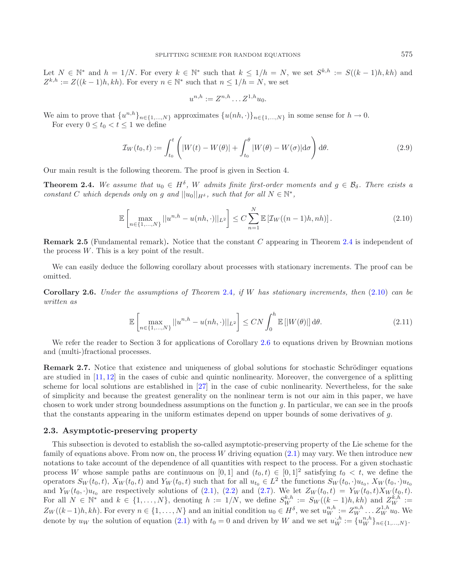Let  $N \in \mathbb{N}^*$  and  $h = 1/N$ . For every  $k \in \mathbb{N}^*$  such that  $k \leq 1/h = N$ , we set  $S^{k,h} := S((k-1)h, kh)$  and  $Z^{k,h} := Z((k-1)h, kh)$ . For every  $n \in \mathbb{N}^*$  such that  $n \leq 1/h = N$ , we set

<span id="page-3-0"></span>
$$
u^{n,h} := Z^{n,h} \dots Z^{1,h} u_0.
$$

We aim to prove that  $\{u^{n,h}\}_{n\in\{1,\ldots,N\}}$  approximates  $\{u(nh, \cdot)\}_{n\in\{1,\ldots,N\}}$  in some sense for  $h\to 0$ .

For every  $0 \le t_0 < t \le 1$  we define

$$
\mathcal{I}_W(t_0, t) := \int_{t_0}^t \left( |W(t) - W(\theta)| + \int_{t_0}^\theta |W(\theta) - W(\sigma)| d\sigma \right) d\theta.
$$
\n(2.9)

Our main result is the following theorem. The proof is given in Section 4.

**Theorem 2.4.** We assume that  $u_0 \in H^{\delta}$ , W admits finite first-order moments and  $g \in \mathcal{B}_{\delta}$ . There exists a *constant* C *which depends only on g and*  $||u_0||_{H^{\delta}}$ *, such that for all*  $N \in \mathbb{N}^*$ *,* 

$$
\mathbb{E}\left[\max_{n\in\{1,\dots,N\}}||u^{n,h}-u(nh,\cdot)||_{L^{2}}\right] \leq C\sum_{n=1}^{N}\mathbb{E}\left[\mathcal{I}_{W}((n-1)h,nh)\right].\tag{2.10}
$$

<span id="page-3-3"></span><span id="page-3-1"></span>**Remark 2.5** (Fundamental remark)**.** Notice that the constant C appearing in Theorem [2.4](#page-3-0) is independent of the process  $W$ . This is a key point of the result.

<span id="page-3-2"></span>We can easily deduce the following corollary about processes with stationary increments. The proof can be omitted.

**Corollary 2.6.** *Under the assumptions of Theorem* [2.4](#page-3-0)*, if* W *has stationary increments, then* [\(2.10\)](#page-3-1) *can be written as*

$$
\mathbb{E}\left[\max_{n\in\{1,\ldots,N\}}||u^{n,h}-u(nh,\cdot)||_{L^2}\right] \le CN \int_0^h \mathbb{E}\left[|W(\theta)|\right]d\theta. \tag{2.11}
$$

We refer the reader to Section 3 for applications of Corollary [2.6](#page-3-2) to equations driven by Brownian motions and (multi-)fractional processes.

**Remark 2.7.** Notice that existence and uniqueness of global solutions for stochastic Schrödinger equations are studied in [\[11,](#page-17-9) [12\]](#page-17-10) in the cases of cubic and quintic nonlinearity. Moreover, the convergence of a splitting scheme for local solutions are established in [\[27\]](#page-17-2) in the case of cubic nonlinearity. Nevertheless, for the sake of simplicity and because the greatest generality on the nonlinear term is not our aim in this paper, we have chosen to work under strong boundedness assumptions on the function g. In particular, we can see in the proofs that the constants appearing in the uniform estimates depend on upper bounds of some derivatives of g.

#### **2.3. Asymptotic-preserving property**

This subsection is devoted to establish the so-called asymptotic-preserving property of the Lie scheme for the family of equations above. From now on, the process  $W$  driving equation  $(2.1)$  may vary. We then introduce new notations to take account of the dependence of all quantities with respect to the process. For a given stochastic process W whose sample paths are continuous on [0, 1] and  $(t_0, t) \in [0, 1]^2$  satisfying  $t_0 < t$ , we define the operators  $S_W(t_0, t)$ ,  $X_W(t_0, t)$  and  $Y_W(t_0, t)$  such that for all  $u_{t_0} \in L^2$  the functions  $S_W(t_0, \cdot)u_{t_0}$ ,  $X_W(t_0, \cdot)u_{t_0}$ and  $Y_W(t_0, \cdot)u_{t_0}$  are respectively solutions of [\(2.1\)](#page-1-0), [\(2.2\)](#page-2-1) and [\(2.7\)](#page-2-4). We let  $Z_W(t_0, t) = Y_W(t_0, t)X_W(t_0, t)$ .<br>For all  $N \in \mathbb{N}^*$  and  $k \in \{1, ..., N\}$ , denoting  $h := 1/N$ , we define  $S_W^{k,h} := S_W((k-1)h, kh)$  and  $Z_W^{k,h} := Z_{k,h}$ .  $Z_W((k-1)h, kh)$ . For every  $n \in \{1, \ldots, N\}$  and an initial condition  $u_0 \in H^{\delta}$ , we set  $u_0^{n,h} := Z_W^{n,h} \ldots Z_W^{1,h} u_0$ . We denote by  $w$ , the solution of equation (9.1) with  $t = 0$  and driven by  $W$  and  $w_0$  at  $w_0^{n,h}$ . denote by  $u_W$  the solution of equation [\(2.1\)](#page-1-0) with  $t_0 = 0$  and driven by W and we set  $u_W^{i,h} := \{u_W^{n,h}\}_{n \in \{1,\dots,N\}}$ .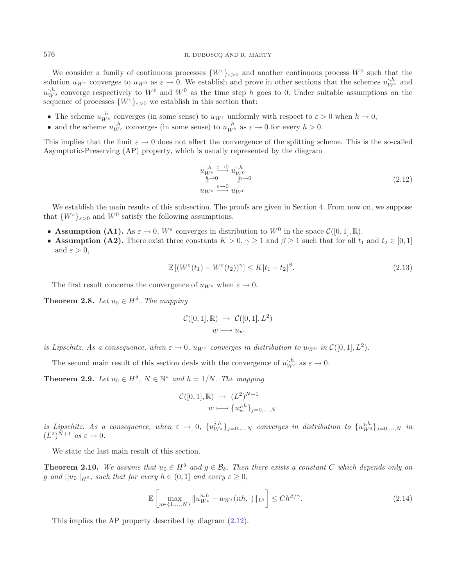We consider a family of continuous processes  $\{W^{\varepsilon}\}_{\varepsilon>0}$  and another continuous process  $W^0$  such that the solution  $u_W$ <sup>ε</sup> converges to  $u_W$ <sup>0</sup> as  $\varepsilon \to 0$ . We establish and prove in other sections that the schemes  $u_W^{h}$  and  $u_W^{h}$  and  $w_W^{h}$  are  $v_W^{h}$  and  $w_W^{h}$  and  $w_W^{h}$  and  $w_W^{h}$  and  $w_W^{h}$  and  $w_W^{h}$  are the  $u_{\mathcal{W}}^{i,h}$  converge respectively to  $W^{\varepsilon}$  and  $W^0$  as the time step h goes to 0. Under suitable assumptions on the sequence of processes  $\{W^{\varepsilon}\}_{\varepsilon>0}$  we establish in this section that: sequence of processes  $\{W^{\varepsilon}\}_{\varepsilon>0}$  we establish in this section that:

- The scheme  $u_{W^e}^{h^h}$  converges (in some sense) to  $u_{W^e}$  uniformly with respect to  $\varepsilon > 0$  when  $h \to 0$ ,
- and the scheme  $u_{W^{\varepsilon}}^{h}$  converges (in some sense) to  $u_{W^0}^{h}$  as  $\varepsilon \to 0$  for every  $h > 0$ .

This implies that the limit  $\varepsilon \to 0$  does not affect the convergence of the splitting scheme. This is the so-called Asymptotic-Preserving (AP) property, which is usually represented by the diagram

<span id="page-4-2"></span><span id="page-4-0"></span>
$$
u_{W^{\varepsilon}}^{j,h} \xrightarrow{\varepsilon \to 0} u_{W^0}^{j,h}
$$
  
\n
$$
\underset{u_{W^{\varepsilon}}}{\Phi} \xrightarrow{\varepsilon \to 0} u_{W^0}
$$
\n
$$
(2.12)
$$

We establish the main results of this subsection. The proofs are given in Section 4. From now on, we suppose that  $\{W^{\varepsilon}\}_{\varepsilon>0}$  and  $W^0$  satisfy the following assumptions.

- **Assumption (A1).** As  $\varepsilon \to 0$ ,  $W^{\varepsilon}$  converges in distribution to  $W^0$  in the space  $\mathcal{C}([0,1],\mathbb{R})$ .
- **Assumption (A2).** There exist three constants  $K > 0$ ,  $\gamma \ge 1$  and  $\beta \ge 1$  such that for all  $t_1$  and  $t_2 \in [0, 1]$ and  $\varepsilon > 0$ ,

<span id="page-4-4"></span><span id="page-4-3"></span>
$$
\mathbb{E}\left[ (W^{\varepsilon}(t_1) - W^{\varepsilon}(t_2))^{\gamma} \right] \le K|t_1 - t_2|^{\beta}.
$$
\n(2.13)

The first result concerns the convergence of  $u_{W^{\varepsilon}}$  when  $\varepsilon \to 0$ .

**Theorem 2.8.** *Let*  $u_0 \in H^\delta$ *. The mapping* 

<span id="page-4-1"></span>
$$
\mathcal{C}([0,1], \mathbb{R}) \rightarrow \mathcal{C}([0,1], L^2)
$$

$$
w \longmapsto u_w
$$

*is Lipschitz. As a consequence, when*  $\varepsilon \to 0$ ,  $u_{W^{\varepsilon}}$  *converges in distribution to*  $u_{W^0}$  *in*  $\mathcal{C}([0,1], L^2)$ *.* 

The second main result of this section deals with the convergence of  $u_{W^{\varepsilon}}^{j,h}$  as  $\varepsilon \to 0$ .

**Theorem 2.9.** *Let*  $u_0 \in H^{\delta}$ ,  $N \in \mathbb{N}^*$  *and*  $h = 1/N$ *. The mapping* 

$$
\mathcal{C}([0,1], \mathbb{R}) \rightarrow (L^2)^{N+1}
$$

$$
w \longmapsto \{u_w^{j,h}\}_{j=0,\dots,N}
$$

*is Lipschitz. As a consequence, when*  $\varepsilon \to 0$ ,  $\{u_{W^{\varepsilon}}^{j,h}\}_{j=0,\ldots,N}$  *converges in distribution to*  $\{u_{W^0}^{j,h}\}_{j=0,\ldots,N}$  *in*<br> $(L^2)^{N+1}$  as  $\varepsilon \to 0$  $(L^2)^{\bar{N}+1}$  *as*  $\varepsilon \to 0$ .

We state the last main result of this section.

**Theorem 2.10.** We assume that  $u_0 \in H^\delta$  and  $g \in \mathcal{B}_\delta$ . Then there exists a constant C which depends only on g and  $||u_0||_{H^{\delta}}$ *, such that for every*  $h \in (0,1]$  and every  $\varepsilon \geq 0$ *,* 

$$
\mathbb{E}\left[\max_{n\in\{1,\ldots,N\}}\|u_{W^{\varepsilon}}^{n,h}-u_{W^{\varepsilon}}(nh,\cdot)\|_{L^{2}}\right]\le Ch^{\beta/\gamma}.
$$
\n(2.14)

This implies the AP property described by diagram [\(2.12\)](#page-4-0).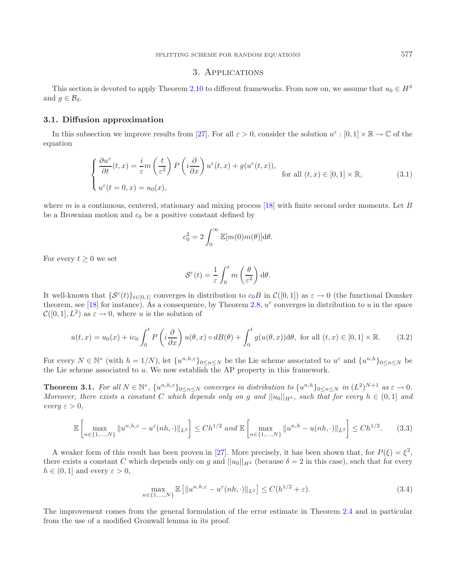## 3. Applications

This section is devoted to apply Theorem [2.10](#page-4-1) to different frameworks. From now on, we assume that  $u_0 \in H^{\delta}$ and  $g \in \mathcal{B}_{\delta}$ .

#### **3.1. Diffusion approximation**

In this subsection we improve results from [\[27](#page-17-2)]. For all  $\varepsilon > 0$ , consider the solution  $u^{\varepsilon} : [0, 1] \times \mathbb{R} \to \mathbb{C}$  of the equation

$$
\begin{cases} \frac{\partial u^{\varepsilon}}{\partial t}(t,x) = \frac{i}{\varepsilon} m\left(\frac{t}{\varepsilon^2}\right) P\left(i\frac{\partial}{\partial x}\right) u^{\varepsilon}(t,x) + g(u^{\varepsilon}(t,x)), \\ u^{\varepsilon}(t=0,x) = u_0(x), \end{cases}
$$
 for all  $(t,x) \in [0,1] \times \mathbb{R}$ , (3.1)

where m is a continuous, centered, stationary and mixing process [\[18](#page-17-11)] with finite second order moments. Let B be a Brownian motion and  $c_0$  be a positive constant defined by

$$
c_0^2 = 2 \int_0^\infty \mathbb{E}[m(0)m(\theta)] \mathrm{d}\theta.
$$

For every  $t \geq 0$  we set

<span id="page-5-1"></span>
$$
\mathcal{S}^{\varepsilon}(t) = \frac{1}{\varepsilon} \int_0^t m\left(\frac{\theta}{\varepsilon^2}\right) d\theta.
$$

It well-known that  $\{\mathcal{S}^{\varepsilon}(t)\}_{t\in[0,1]}$  converges in distribution to  $c_0B$  in  $\mathcal{C}([0,1])$  as  $\varepsilon\to 0$  (the functional Donsker theorem, see [\[18](#page-17-11)] for instance). As a consequence, by Theorem [2.8,](#page-4-2)  $u^{\varepsilon}$  converges in distribution to u in the space  $\mathcal{C}([0,1], L^2)$  as  $\varepsilon \to 0$ , where u is the solution of

$$
u(t,x) = u_0(x) + ic_0 \int_0^t P\left(i\frac{\partial}{\partial x}\right)u(\theta,x) \circ dB(\theta) + \int_0^t g(u(\theta,x))d\theta, \text{ for all } (t,x) \in [0,1] \times \mathbb{R}.
$$
 (3.2)

For every  $N \in \mathbb{N}^*$  (with  $h = 1/N$ ), let  $\{u^{n,h,\varepsilon}\}_{0 \le n \le N}$  be the Lie scheme associated to  $u^{\varepsilon}$  and  $\{u^{n,h}\}_{0 \le n \le N}$  be the Lie scheme associated to  $u$ . We now establish the AP property in this framework.

**Theorem 3.1.** For all  $N \in \mathbb{N}^*$ ,  $\{u^{n,h,\varepsilon}\}_{0 \le n \le N}$  converges in distribution to  $\{u^{n,h}\}_{0 \le n \le N}$  in  $(L^2)^{N+1}$  as  $\varepsilon \to 0$ . *Moreover, there exists a constant* C which depends only on g and  $||u_0||_{H\delta}$ , such that for every  $h \in (0,1]$  and  $every \varepsilon > 0,$ 

$$
\mathbb{E}\left[\max_{n\in\{1,\ldots,N\}}\|u^{n,h,\varepsilon}-u^{\varepsilon}(nh,\cdot)\|_{L^{2}}\right] \leq Ch^{1/2}\text{ and }\mathbb{E}\left[\max_{n\in\{1,\ldots,N\}}\|u^{n,h}-u(nh,\cdot)\|_{L^{2}}\right] \leq Ch^{1/2}.\tag{3.3}
$$

<span id="page-5-0"></span>A weaker form of this result has been proven in [\[27](#page-17-2)]. More precisely, it has been shown that, for  $P(\xi) = \xi^2$ , there exists a constant C which depends only on g and  $||u_0||_{H^2}$  (because  $\delta = 2$  in this case), such that for every  $h \in (0,1]$  and every  $\varepsilon > 0$ ,

$$
\max_{n\in\{1,\ldots,N\}} \mathbb{E}\left[\|u^{n,h,\varepsilon}-u^{\varepsilon}(nh,\cdot)\|_{L^{2}}\right] \leq C(h^{1/2}+\varepsilon). \tag{3.4}
$$

The improvement comes from the general formulation of the error estimate in Theorem [2.4](#page-3-0) and in particular from the use of a modified Gronwall lemma in its proof.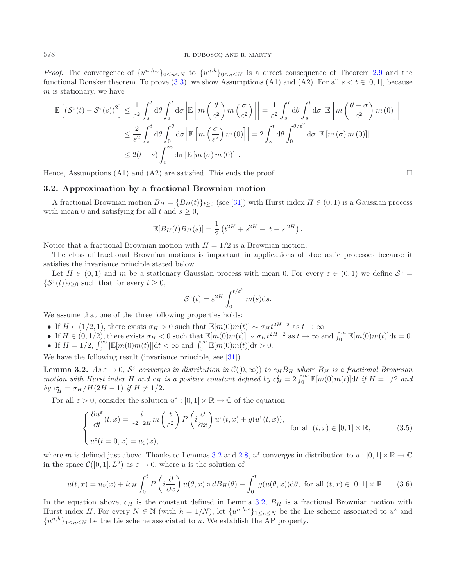#### 578 R. DUBOSCQ AND R. MARTY

*Proof.* The convergence of  $\{u^{n,h,\varepsilon}\}_{0\leq n\leq N}$  to  $\{u^{n,h}\}_{0\leq n\leq N}$  is a direct consequence of Theorem [2.9](#page-4-3) and the functional Donsker theorem. To prove [\(3.3\)](#page-5-0), we show Assumptions (A1) and (A2). For all  $s < t \in [0, 1]$ , because  $m$  is stationary, we have

$$
\mathbb{E}\left[\left(\mathcal{S}^{\varepsilon}(t) - \mathcal{S}^{\varepsilon}(s)\right)^{2}\right] \leq \frac{1}{\varepsilon^{2}} \int_{s}^{t} d\theta \int_{s}^{t} d\sigma \left|\mathbb{E}\left[m\left(\frac{\theta}{\varepsilon^{2}}\right)m\left(\frac{\sigma}{\varepsilon^{2}}\right)\right]\right| = \frac{1}{\varepsilon^{2}} \int_{s}^{t} d\theta \int_{s}^{t} d\sigma \left|\mathbb{E}\left[m\left(\frac{\theta-\sigma}{\varepsilon^{2}}\right)m(0)\right]\right|
$$
  

$$
\leq \frac{2}{\varepsilon^{2}} \int_{s}^{t} d\theta \int_{0}^{\theta} d\sigma \left|\mathbb{E}\left[m\left(\frac{\sigma}{\varepsilon^{2}}\right)m(0)\right]\right| = 2 \int_{s}^{t} d\theta \int_{0}^{\theta/\varepsilon^{2}} d\sigma \left|\mathbb{E}\left[m(\sigma)m(0)\right]\right|
$$
  

$$
\leq 2(t-s) \int_{0}^{\infty} d\sigma \left|\mathbb{E}\left[m(\sigma)m(0)\right]\right|.
$$

Hence, Assumptions  $(A1)$  and  $(A2)$  are satisfied. This ends the proof.

#### **3.2. Approximation by a fractional Brownian motion**

A fractional Brownian motion  $B_H = \{B_H(t)\}_{t>0}$  (see [\[31\]](#page-17-12)) with Hurst index  $H \in (0,1)$  is a Gaussian process with mean 0 and satisfying for all t and  $s \geq 0$ ,

<span id="page-6-0"></span>
$$
\mathbb{E}[B_H(t)B_H(s)] = \frac{1}{2} \left( t^{2H} + s^{2H} - |t - s|^{2H} \right).
$$

Notice that a fractional Brownian motion with  $H = 1/2$  is a Brownian motion.

The class of fractional Brownian motions is important in applications of stochastic processes because it satisfies the invariance principle stated below.

Let  $H \in (0,1)$  and m be a stationary Gaussian process with mean 0. For every  $\varepsilon \in (0,1)$  we define  $\mathcal{S}^{\varepsilon}$  =  $\{\mathcal{S}^{\varepsilon}(t)\}_{t>0}$  such that for every  $t\geq 0$ ,

<span id="page-6-1"></span>
$$
S^{\varepsilon}(t) = \varepsilon^{2H} \int_0^{t/\varepsilon^2} m(s) \mathrm{d}s.
$$

We assume that one of the three following properties holds:

- If  $H \in (1/2, 1)$ , there exists  $\sigma_H > 0$  such that  $\mathbb{E}[m(0)m(t)] \sim \sigma_H t^{2H-2}$  as  $t \to \infty$ .
- If  $H \in (0, 1/2)$ , there exists  $\sigma_H < 0$  such that  $\mathbb{E}[m(0)m(t)] \sim \sigma_H t^{2H-2}$  as  $t \to \infty$  and  $\int_0^\infty \mathbb{E}[m(0)m(t)]dt = 0$ .
- If  $H = 1/2$ ,  $\int_0^{\infty} |\mathbb{E}[m(0)m(t)]|dt < \infty$  and  $\int_0^{\infty} \mathbb{E}[m(0)m(t)]dt > 0$ .

We have the following result (invariance principle, see [\[31\]](#page-17-12)).

**Lemma 3.2.**  $As \varepsilon \to 0$ ,  $S^{\varepsilon}$  converges in distribution in  $\mathcal{C}([0,\infty))$  to  $c_H B_H$  where  $B_H$  is a fractional Brownian *motion with Hurst index* H and  $c_H$  *is a positive constant defined by*  $c_H^2 = 2 \int_0^\infty \mathbb{E}[m(0)m(t)]dt$  *if*  $H = 1/2$  *and*  $h = 2 \int_0^\infty \mathbb{E}[m(0)m(t)]dt$  *if*  $H = 1/2$  *and by*  $c_H^2 = \sigma_H / H(2H - 1)$  *if*  $H \neq 1/2$ *.* 

For all  $\varepsilon > 0$ , consider the solution  $u^{\varepsilon} : [0, 1] \times \mathbb{R} \to \mathbb{C}$  of the equation

$$
\begin{cases} \frac{\partial u^{\varepsilon}}{\partial t}(t,x) = \frac{i}{\varepsilon^{2-2H}} m\left(\frac{t}{\varepsilon^{2}}\right) P\left(i\frac{\partial}{\partial x}\right) u^{\varepsilon}(t,x) + g(u^{\varepsilon}(t,x)), \\ u^{\varepsilon}(t=0,x) = u_{0}(x), \end{cases}
$$
 for all  $(t,x) \in [0,1] \times \mathbb{R}$ , (3.5)

where m is defined just above. Thanks to Lemmas [3.2](#page-6-0) and [2.8,](#page-4-2)  $u^{\epsilon}$  converges in distribution to  $u : [0, 1] \times \mathbb{R} \to \mathbb{C}$ in the space  $\mathcal{C}([0,1], L^2)$  as  $\varepsilon \to 0$ , where u is the solution of

$$
u(t,x) = u_0(x) + ic_H \int_0^t P\left(i\frac{\partial}{\partial x}\right)u(\theta,x) \circ dB_H(\theta) + \int_0^t g(u(\theta,x))d\theta, \text{ for all } (t,x) \in [0,1] \times \mathbb{R}.
$$
 (3.6)

In the equation above,  $c_H$  is the constant defined in Lemma [3.2,](#page-6-0)  $B_H$  is a fractional Brownian motion with Hurst index H. For every  $N \in \mathbb{N}$  (with  $h = 1/N$ ), let  $\{u^{n,h,\varepsilon}\}_{1 \le n \le N}$  be the Lie scheme associated to  $u^{\varepsilon}$  and  $\{u^{n,h}\}_{1\leq n\leq N}$  be the Lie scheme associated to u. We establish the AP property.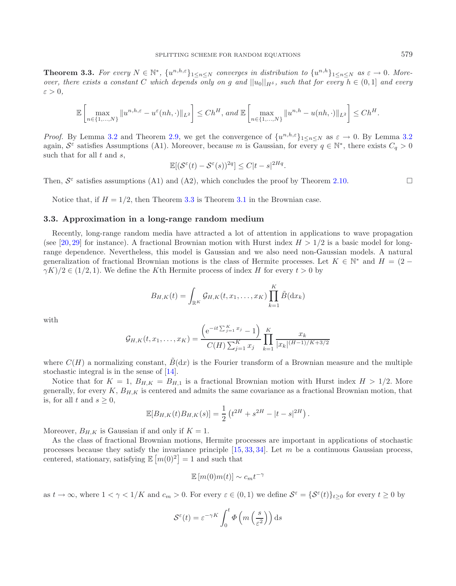**Theorem 3.3.** For every  $N \in \mathbb{N}^*$ ,  $\{u^{n,h,\varepsilon}\}_{1 \leq n \leq N}$  converges in distribution to  $\{u^{n,h}\}_{1 \leq n \leq N}$  as  $\varepsilon \to 0$ . More*over, there exists a constant* C which depends only on g and  $||u_0||_{H^{\delta}}$ , such that for every  $h \in (0,1]$  and every  $\varepsilon > 0$ ,

$$
\mathbb{E}\left[\max_{n\in\{1,\ldots,N\}}\|u^{n,h,\varepsilon}-u^{\varepsilon}(nh,\cdot)\|_{L^{2}}\right]\leq Ch^{H},\text{ and }\mathbb{E}\left[\max_{n\in\{1,\ldots,N\}}\|u^{n,h}-u(nh,\cdot)\|_{L^{2}}\right]\leq Ch^{H}.
$$

*Proof.* By Lemma [3.2](#page-6-0) and Theorem [2.9,](#page-4-3) we get the convergence of  $\{u^{n,h,\varepsilon}\}_{1\leq n\leq N}$  as  $\varepsilon \to 0$ . By Lemma 3.2 again,  $S^{\varepsilon}$  satisfies Assumptions (A1). Moreover, because m is Gaussian, for every  $q \in \mathbb{N}^*$ , there exists  $C_q > 0$ such that for all  $t$  and  $s$ ,

$$
\mathbb{E}[(\mathcal{S}^{\varepsilon}(t) - \mathcal{S}^{\varepsilon}(s))^{2q}] \leq C|t - s|^{2Hq}.
$$

Then,  $S^{\varepsilon}$  satisfies assumptions (A1) and (A2), which concludes the proof by Theorem [2.10.](#page-4-1)

Notice that, if  $H = 1/2$ , then Theorem [3.3](#page-6-1) is Theorem [3.1](#page-5-1) in the Brownian case.

#### **3.3. Approximation in a long-range random medium**

Recently, long-range random media have attracted a lot of attention in applications to wave propagation (see [\[20,](#page-17-13) [29\]](#page-17-14) for instance). A fractional Brownian motion with Hurst index  $H > 1/2$  is a basic model for longrange dependence. Nevertheless, this model is Gaussian and we also need non-Gaussian models. A natural generalization of fractional Brownian motions is the class of Hermite processes. Let  $K \in \mathbb{N}^*$  and  $H = (2 \gamma K/2 \in (1/2, 1)$ . We define the Kth Hermite process of index H for every  $t > 0$  by

$$
B_{H,K}(t) = \int_{\mathbb{R}^K} \mathcal{G}_{H,K}(t,x_1,\ldots,x_K) \prod_{k=1}^K \tilde{B}(\mathrm{d}x_k)
$$

with

$$
\mathcal{G}_{H,K}(t,x_1,\ldots,x_K) = \frac{\left(e^{-it\sum_{j=1}^K x_j} - 1\right)}{C(H)\sum_{j=1}^K x_j} \prod_{k=1}^K \frac{x_k}{|x_k|^{(H-1)/K+3/2}}
$$

where  $C(H)$  a normalizing constant,  $\tilde{B}(dx)$  is the Fourier transform of a Brownian measure and the multiple stochastic integral is in the sense of [\[14\]](#page-17-15).

Notice that for  $K = 1$ ,  $B_{H,K} = B_{H,1}$  is a fractional Brownian motion with Hurst index  $H > 1/2$ . More generally, for every  $K$ ,  $B_{H,K}$  is centered and admits the same covariance as a fractional Brownian motion, that is, for all t and  $s > 0$ ,

$$
\mathbb{E}[B_{H,K}(t)B_{H,K}(s)] = \frac{1}{2} \left( t^{2H} + s^{2H} - |t - s|^{2H} \right).
$$

Moreover,  $B_{H,K}$  is Gaussian if and only if  $K = 1$ .

As the class of fractional Brownian motions, Hermite processes are important in applications of stochastic processes because they satisfy the invariance principle [\[15](#page-17-16), [33,](#page-17-17) [34](#page-17-18)]. Let m be a continuous Gaussian process, centered, stationary, satisfying  $\mathbb{E}[m(0)^2] = 1$  and such that

$$
\mathbb{E}\left[m(0)m(t)\right] \sim c_m t^{-\gamma}
$$

as  $t \to \infty$ , where  $1 < \gamma < 1/K$  and  $c_m > 0$ . For every  $\varepsilon \in (0,1)$  we define  $S^{\varepsilon} = {\{S^{\varepsilon}(t)\}}_{t>0}$  for every  $t \ge 0$  by

$$
S^{\varepsilon}(t) = \varepsilon^{-\gamma K} \int_0^t \Phi\left(m\left(\frac{s}{\varepsilon^2}\right)\right) ds
$$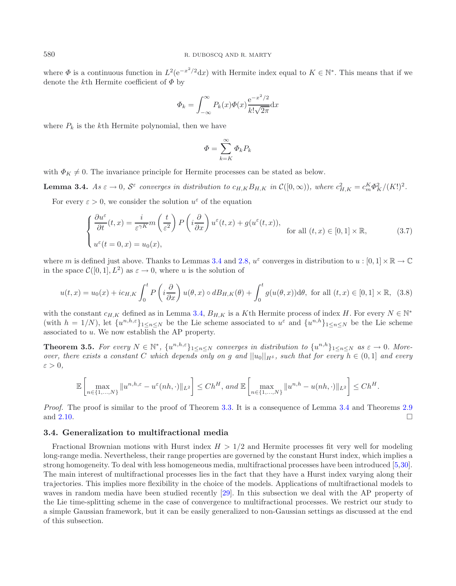where  $\Phi$  is a continuous function in  $L^2(e^{-x^2/2}dx)$  with Hermite index equal to  $K \in \mathbb{N}^*$ . This means that if we denote the k<sup>th</sup> Hermite coefficient of  $\Phi$  by

<span id="page-8-0"></span>
$$
\Phi_k = \int_{-\infty}^{\infty} P_k(x)\Phi(x)\frac{e^{-x^2/2}}{k!\sqrt{2\pi}}dx
$$

where  $P_k$  is the k<sup>th</sup> Hermite polynomial, then we have

$$
\Phi = \sum_{k=K}^{\infty} \Phi_k P_k
$$

with  $\Phi_K \neq 0$ . The invariance principle for Hermite processes can be stated as below.

**Lemma 3.4.**  $As \varepsilon \to 0$ ,  $S^{\varepsilon}$  converges in distribution to  $c_{H,K}B_{H,K}$  in  $\mathcal{C}([0,\infty))$ , where  $c_{H,K}^2 = c_m^K \Phi_K^2/(K!)^2$ .

For every  $\varepsilon > 0$ , we consider the solution  $u^{\varepsilon}$  of the equation

$$
\begin{cases} \frac{\partial u^{\varepsilon}}{\partial t}(t,x) = \frac{i}{\varepsilon^{\gamma K}} m\left(\frac{t}{\varepsilon^2}\right) P\left(i\frac{\partial}{\partial x}\right) u^{\varepsilon}(t,x) + g(u^{\varepsilon}(t,x)), \\ u^{\varepsilon}(t=0,x) = u_0(x), \end{cases}
$$
 for all  $(t,x) \in [0,1] \times \mathbb{R}$ , (3.7)

where m is defined just above. Thanks to Lemmas [3.4](#page-8-0) and [2.8,](#page-4-2)  $u^{\varepsilon}$  converges in distribution to  $u : [0,1] \times \mathbb{R} \to \mathbb{C}$ in the space  $\mathcal{C}([0,1], L^2)$  as  $\varepsilon \to 0$ , where u is the solution of

$$
u(t,x) = u_0(x) + ic_{H,K} \int_0^t P\left(i\frac{\partial}{\partial x}\right)u(\theta,x) \circ dB_{H,K}(\theta) + \int_0^t g(u(\theta,x))d\theta, \text{ for all } (t,x) \in [0,1] \times \mathbb{R}, \tag{3.8}
$$

with the constant  $c_{H,K}$  defined as in Lemma [3.4,](#page-8-0)  $B_{H,K}$  is a Kth Hermite process of index H. For every  $N \in \mathbb{N}^*$ (with  $h = 1/N$ ), let  $\{u^{n,h,\varepsilon}\}_{1 \leq n \leq N}$  be the Lie scheme associated to  $u^{\varepsilon}$  and  $\{u^{n,h}\}_{1 \leq n \leq N}$  be the Lie scheme associated to u. We now establish the AP property.

**Theorem 3.5.** For every  $N \in \mathbb{N}^*$ ,  $\{u^{n,h,\varepsilon}\}_{1 \leq n \leq N}$  converges in distribution to  $\{u^{n,h}\}_{1 \leq n \leq N}$  as  $\varepsilon \to 0$ . More*over, there exists a constant* C which depends only on g and  $||u_0||_{H^{\delta}}$ , such that for every  $h \in (0,1]$  and every  $\varepsilon > 0$ ,

$$
\mathbb{E}\left[\max_{n\in\{1,\ldots,N\}}\|u^{n,h,\varepsilon}-u^{\varepsilon}(nh,\cdot)\|_{L^{2}}\right]\leq Ch^{H},\text{ and }\mathbb{E}\left[\max_{n\in\{1,\ldots,N\}}\|u^{n,h}-u(nh,\cdot)\|_{L^{2}}\right]\leq Ch^{H}.
$$

*Proof.* The proof is similar to the proof of Theorem [3.3.](#page-6-1) It is a consequence of Lemma [3.4](#page-8-0) and Theorems [2.9](#page-4-3) and [2.10.](#page-4-1)  $\Box$ 

#### **3.4. Generalization to multifractional media**

Fractional Brownian motions with Hurst index  $H > 1/2$  and Hermite processes fit very well for modeling long-range media. Nevertheless, their range properties are governed by the constant Hurst index, which implies a strong homogeneity. To deal with less homogeneous media, multifractional processes have been introduced [\[5](#page-16-5)[,30](#page-17-19)]. The main interest of multifractional processes lies in the fact that they have a Hurst index varying along their trajectories. This implies more flexibility in the choice of the models. Applications of multifractional models to waves in random media have been studied recently [\[29](#page-17-14)]. In this subsection we deal with the AP property of the Lie time-splitting scheme in the case of convergence to multifractional processes. We restrict our study to a simple Gaussian framework, but it can be easily generalized to non-Gaussian settings as discussed at the end of this subsection.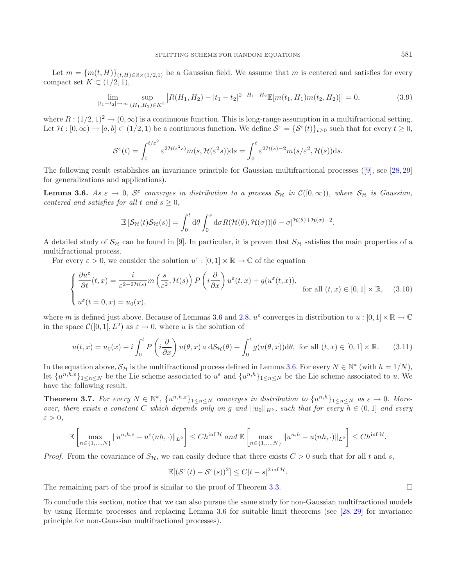Let  $m = \{m(t, H)\}_{(t, H) \in \mathbb{R} \times (1/2, 1)}$  be a Gaussian field. We assume that m is centered and satisfies for every compact set  $K \subset (1/2, 1),$ 

<span id="page-9-0"></span>
$$
\lim_{|t_1 - t_2| \to \infty} \sup_{(H_1, H_2) \in K^2} \left| R(H_1, H_2) - |t_1 - t_2|^{2 - H_1 - H_2} \mathbb{E}[m(t_1, H_1)m(t_2, H_2)] \right| = 0,
$$
\n(3.9)

where  $R: (1/2, 1)^2 \to (0, \infty)$  is a continuous function. This is long-range assumption in a multifractional setting. Let  $\mathcal{H} : [0, \infty) \to [a, b] \subset (1/2, 1)$  be a continuous function. We define  $\mathcal{S}^{\varepsilon} = {\{\mathcal{S}^{\varepsilon}(t)\}}_{t>0}$  such that for every  $t \geq 0$ ,

$$
\mathcal{S}^{\varepsilon}(t) = \int_0^{t/\varepsilon^2} \varepsilon^{2\mathcal{H}(\varepsilon^2 s)} m(s, \mathcal{H}(\varepsilon^2 s)) ds = \int_0^t \varepsilon^{2\mathcal{H}(s)-2} m(s/\varepsilon^2, \mathcal{H}(s)) ds.
$$

The following result establishes an invariance principle for Gaussian multifractional processes ([\[9](#page-17-20)], see [\[28,](#page-17-21) [29\]](#page-17-14) for generalizations and applications).

**Lemma 3.6.**  $As \varepsilon \to 0$ ,  $S^{\varepsilon}$  converges in distribution to a process  $S_H$  in  $\mathcal{C}([0,\infty))$ , where  $S_H$  is Gaussian, *centered and satisfies for all*  $t$  *and*  $s \geq 0$ *,* 

$$
\mathbb{E}\left[\mathcal{S}_{\mathcal{H}}(t)\mathcal{S}_{\mathcal{H}}(s)\right] = \int_0^t d\theta \int_0^s d\sigma R(\mathcal{H}(\theta), \mathcal{H}(\sigma)) |\theta - \sigma|^{\mathcal{H}(\theta) + \mathcal{H}(\sigma) - 2}.
$$

A detailed study of  $S_H$  can be found in [\[9](#page-17-20)]. In particular, it is proven that  $S_H$  satisfies the main properties of a multifractional process.

For every  $\varepsilon > 0$ , we consider the solution  $u^{\varepsilon} : [0, 1] \times \mathbb{R} \to \mathbb{C}$  of the equation

$$
\begin{cases} \frac{\partial u^{\varepsilon}}{\partial t}(t,x) = \frac{i}{\varepsilon^{2-2\mathcal{H}(s)}} m\left(\frac{s}{\varepsilon^{2}}, \mathcal{H}(s)\right) P\left(i\frac{\partial}{\partial x}\right) u^{\varepsilon}(t,x) + g(u^{\varepsilon}(t,x)),\\ u^{\varepsilon}(t=0,x) = u_{0}(x), \end{cases}
$$
 for all  $(t,x) \in [0,1] \times \mathbb{R}$ , (3.10)

where m is defined just above. Because of Lemmas [3.6](#page-9-0) and [2.8,](#page-4-2)  $u^{\varepsilon}$  converges in distribution to  $u : [0,1] \times \mathbb{R} \to \mathbb{C}$ in the space  $\mathcal{C}([0,1], L^2)$  as  $\varepsilon \to 0$ , where u is the solution of

$$
u(t,x) = u_0(x) + i \int_0^t P\left(i\frac{\partial}{\partial x}\right) u(\theta, x) \circ d\mathcal{S}_{\mathcal{H}}(\theta) + \int_0^t g(u(\theta, x)) d\theta, \text{ for all } (t, x) \in [0, 1] \times \mathbb{R}.
$$
 (3.11)

In the equation above,  $S_H$  is the multifractional process defined in Lemma [3.6.](#page-9-0) For every  $N \in \mathbb{N}^*$  (with  $h = 1/N$ ), let  $\{u^{n,h,\varepsilon}\}_{1\leq n\leq N}$  be the Lie scheme associated to  $u^{\varepsilon}$  and  $\{u^{n,h}\}_{1\leq n\leq N}$  be the Lie scheme associated to u. We have the following result.

**Theorem 3.7.** For every  $N \in \mathbb{N}^*$ ,  $\{u^{n,h,\varepsilon}\}_{1 \leq n \leq N}$  converges in distribution to  $\{u^{n,h}\}_{1 \leq n \leq N}$  as  $\varepsilon \to 0$ . More*over, there exists a constant* C which depends only on g and  $||u_0||_{H^{\delta}}$ , such that for every  $h \in (0,1]$  and every  $\varepsilon > 0$ ,

$$
\mathbb{E}\left[\max_{n\in\{1,\ldots,N\}}\|u^{n,h,\varepsilon}-u^{\varepsilon}(nh,\cdot)\|_{L^{2}}\right]\leq C h^{\inf\mathcal{H}}\text{ and }\mathbb{E}\left[\max_{n\in\{1,\ldots,N\}}\|u^{n,h}-u(nh,\cdot)\|_{L^{2}}\right]\leq C h^{\inf\mathcal{H}}.
$$

*Proof.* From the covariance of  $S_{\mathcal{H}}$ , we can easily deduce that there exists  $C > 0$  such that for all t and s,

$$
\mathbb{E}[(\mathcal{S}^{\varepsilon}(t) - \mathcal{S}^{\varepsilon}(s))^2] \le C|t - s|^{2\inf \mathcal{H}}.
$$

The remaining part of the proof is similar to the proof of Theorem [3.3.](#page-6-1)

To conclude this section, notice that we can also pursue the same study for non-Gaussian multifractional models by using Hermite processes and replacing Lemma [3.6](#page-9-0) for suitable limit theorems (see [\[28,](#page-17-21) [29\]](#page-17-14) for invariance principle for non-Gaussian multifractional processes).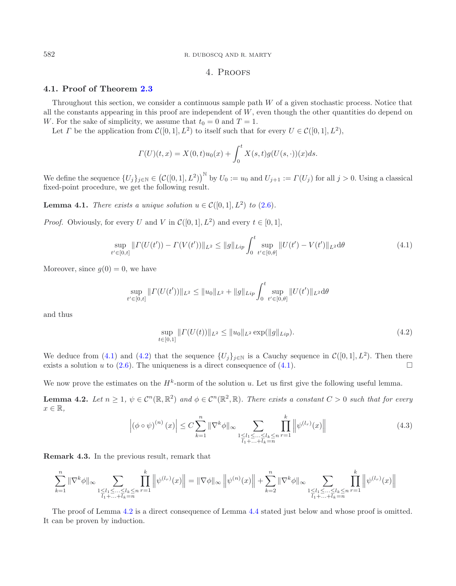582 R. DUBOSCQ AND R. MARTY

# <span id="page-10-0"></span>4. Proofs

# **4.1. Proof of Theorem [2.3](#page-2-5)**

Throughout this section, we consider a continuous sample path W of a given stochastic process. Notice that all the constants appearing in this proof are independent of  $W$ , even though the other quantities do depend on W. For the sake of simplicity, we assume that  $t_0 = 0$  and  $T = 1$ .

Let *Γ* be the application from  $C([0, 1], L^2)$  to itself such that for every  $U \in C([0, 1], L^2)$ ,

$$
\Gamma(U)(t,x) = X(0,t)u_0(x) + \int_0^t X(s,t)g(U(s,\cdot))(x)ds.
$$

We define the sequence  $\{U_j\}_{j\in\mathbb{N}} \in (C([0,1], L^2))^{\mathbb{N}}$  by  $U_0 := u_0$  and  $U_{j+1} := \Gamma(U_j)$  for all  $j > 0$ . Using a classical fixed-point procedure, we get the following result.

**Lemma 4.1.** *There exists a unique solution*  $u \in \mathcal{C}([0,1], L^2)$  *to* [\(2.6\)](#page-2-3)*.* 

*Proof.* Obviously, for every U and V in  $\mathcal{C}([0,1], L^2)$  and every  $t \in [0,1]$ ,

$$
\sup_{t' \in [0,t]} \| \Gamma(U(t')) - \Gamma(V(t')) \|_{L^2} \le \|g\|_{Lip} \int_0^t \sup_{t' \in [0,\theta]} \| U(t') - V(t') \|_{L^2} d\theta \tag{4.1}
$$

Moreover, since  $q(0) = 0$ , we have

<span id="page-10-1"></span>
$$
\sup_{t' \in [0,t]} \| \Gamma(U(t')) \|_{L^2} \leq \| u_0 \|_{L^2} + \| g \|_{Lip} \int_0^t \sup_{t' \in [0,\theta]} \| U(t') \|_{L^2} d\theta
$$

and thus

<span id="page-10-2"></span>
$$
\sup_{t \in [0,1]} \| \Gamma(U(t)) \|_{L^2} \leq \| u_0 \|_{L^2} \exp(||g||_{Lip}). \tag{4.2}
$$

We deduce from [\(4.1\)](#page-10-0) and [\(4.2\)](#page-10-1) that the sequence  $\{U_j\}_{j\in\mathbb{N}}$  is a Cauchy sequence in  $\mathcal{C}([0,1], L^2)$ . Then there exists a solution u to (2.6). The uniqueness is a direct consequence of (4.1). exists a solution u to  $(2.6)$ . The uniqueness is a direct consequence of  $(4.1)$ .

We now prove the estimates on the  $H^k$ -norm of the solution u. Let us first give the following useful lemma.

**Lemma 4.2.** *Let*  $n \geq 1$ ,  $\psi \in C^n(\mathbb{R}, \mathbb{R}^2)$  *and*  $\phi \in C^n(\mathbb{R}^2, \mathbb{R})$ *. There exists a constant*  $C > 0$  *such that for every*  $x \in \mathbb{R}$ ,

<span id="page-10-3"></span>
$$
\left| (\phi \circ \psi)^{(n)}(x) \right| \le C \sum_{k=1}^{n} \|\nabla^{k} \phi\|_{\infty} \sum_{\substack{1 \le l_1 \le \dots \le l_k \le n \\ l_1 + \dots + l_k = n}} \prod_{r=1}^{k} \left\| \psi^{(l_r)}(x) \right\| \tag{4.3}
$$

<span id="page-10-4"></span>**Remark 4.3.** In the previous result, remark that

$$
\sum_{k=1}^{n} \|\nabla^{k}\phi\|_{\infty} \sum_{\substack{1 \leq l_1 \leq \ldots \leq l_k \leq n \\ l_1 + \ldots + l_k = n}} \prod_{r=1}^{k} \left\|\psi^{(l_r)}(x)\right\| = \|\nabla\phi\|_{\infty} \left\|\psi^{(n)}(x)\right\| + \sum_{k=2}^{n} \|\nabla^{k}\phi\|_{\infty} \sum_{\substack{1 \leq l_1 \leq \ldots \leq l_k \leq n \\ l_1 + \ldots + l_k = n}} \prod_{r=1}^{k} \left\|\psi^{(l_r)}(x)\right\|
$$

The proof of Lemma [4.2](#page-10-2) is a direct consequence of Lemma [4.4](#page-10-3) stated just below and whose proof is omitted. It can be proven by induction.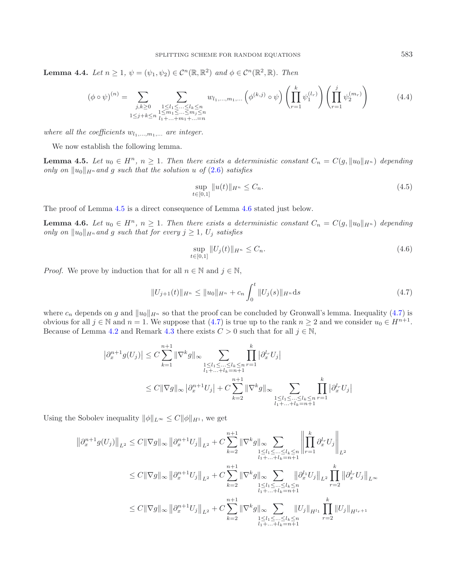**Lemma 4.4.** *Let*  $n \geq 1$ ,  $\psi = (\psi_1, \psi_2) \in C^n(\mathbb{R}, \mathbb{R}^2)$  *and*  $\phi \in C^n(\mathbb{R}^2, \mathbb{R})$ *. Then* 

<span id="page-11-0"></span>
$$
(\phi \circ \psi)^{(n)} = \sum_{\substack{j,k \geq 0 \\ 1 \leq j+k \leq n}} \sum_{\substack{1 \leq l_1 \leq \ldots \leq l_k \leq n \\ 1 \leq m_1 \leq \ldots \leq m_j \leq n}} w_{l_1,\ldots,m_1,\ldots} \left(\phi^{(k,j)} \circ \psi\right) \left(\prod_{r=1}^{k} \psi_1^{(l_r)}\right) \left(\prod_{r=1}^{j} \psi_2^{(m_r)}\right)
$$
(4.4)

*where all the coefficients*  $w_{l_1,...,m_1,...}$  *are integer.* 

We now establish the following lemma.

**Lemma 4.5.** *Let*  $u_0 \in H^n$ ,  $n \geq 1$ *. Then there exists a deterministic constant*  $C_n = C(g, \|u_0\|_{H^n})$  *depending only on*  $||u_0||_{H^n}$  *and* g *such that the solution* u of [\(2.6\)](#page-2-3) *satisfies* 

<span id="page-11-1"></span>
$$
\sup_{t \in [0,1]} \|u(t)\|_{H^n} \le C_n. \tag{4.5}
$$

The proof of Lemma [4.5](#page-11-0) is a direct consequence of Lemma [4.6](#page-11-1) stated just below.

**Lemma 4.6.** *Let*  $u_0 \in H^n$ ,  $n \geq 1$ *. Then there exists a deterministic constant*  $C_n = C(g, \|u_0\|_{H^n})$  *depending only on*  $||u_0||_{H^n}$  *and* g *such that for every*  $j \geq 1$ ,  $U_j$  *satisfies* 

$$
\sup_{t \in [0,1]} \|U_j(t)\|_{H^n} \le C_n. \tag{4.6}
$$

*Proof.* We prove by induction that for all  $n \in \mathbb{N}$  and  $j \in \mathbb{N}$ ,

<span id="page-11-2"></span>
$$
||U_{j+1}(t)||_{H^n} \le ||u_0||_{H^n} + c_n \int_0^t ||U_j(s)||_{H^n} ds
$$
\n(4.7)

where  $c_n$  depends on g and  $||u_0||_{H^n}$  so that the proof can be concluded by Gronwall's lemma. Inequality [\(4.7\)](#page-11-2) is obvious for all  $j \in \mathbb{N}$  and  $n = 1$ . We suppose that [\(4.7\)](#page-11-2) is true up to the rank  $n \geq 2$  and we consider  $u_0 \in H^{n+1}$ . Because of Lemma [4.2](#page-10-2) and Remark [4.3](#page-10-4) there exists  $C > 0$  such that for all  $j \in \mathbb{N}$ ,

$$
\left|\partial_x^{n+1} g(U_j)\right| \le C \sum_{k=1}^{n+1} \|\nabla^k g\|_{\infty} \sum_{\substack{1 \le l_1 \le \dots \le l_k \le n \\ l_1 + \dots + l_k = n+1}} \prod_{r=1}^k \left|\partial_x^{l_r} U_j\right|
$$
  

$$
\le C \|\nabla g\|_{\infty} \left|\partial_x^{n+1} U_j\right| + C \sum_{k=2}^{n+1} \|\nabla^k g\|_{\infty} \sum_{\substack{1 \le l_1 \le \dots \le l_k \le n \\ l_1 + \dots + l_k = n+1}} \prod_{r=1}^k \left|\partial_x^{l_r} U_j\right|
$$

Using the Sobolev inequality  $\|\phi\|_{L^{\infty}} \leq C \|\phi\|_{H^1}$ , we get

$$
\begin{aligned}\n\|\partial_x^{n+1}g(U_j)\|_{L^2} &\leq C\|\nabla g\|_{\infty} \left\|\partial_x^{n+1}U_j\right\|_{L^2} + C\sum_{k=2}^{n+1} \|\nabla^k g\|_{\infty} \sum_{\substack{1 \leq l_1 \leq \ldots \leq l_k \leq n \\ l_1 + \ldots + l_k = n+1}} \left\|\prod_{r=1}^k \partial_x^{l_r} U_j\right\|_{L^2} \\
&\leq C\|\nabla g\|_{\infty} \left\|\partial_x^{n+1} U_j\right\|_{L^2} + C\sum_{k=2}^{n+1} \|\nabla^k g\|_{\infty} \sum_{\substack{1 \leq l_1 \leq \ldots \leq l_k \leq n \\ l_1 + \ldots + l_k = n+1}} \left\|\partial_x^{l_1} U_j\right\|_{L^2} \prod_{r=2}^k \left\|\partial_x^{l_r} U_j\right\|_{L^{\infty}} \\
&\leq C\|\nabla g\|_{\infty} \left\|\partial_x^{n+1} U_j\right\|_{L^2} + C\sum_{k=2}^{n+1} \|\nabla^k g\|_{\infty} \sum_{\substack{1 \leq l_1 \leq \ldots \leq l_k \leq n \\ l_1 + \ldots + l_k = n+1}} \left\|U_j\right\|_{H^l_1} \prod_{r=2}^k \left\|U_j\right\|_{H^{l_r+1}}\n\end{aligned}
$$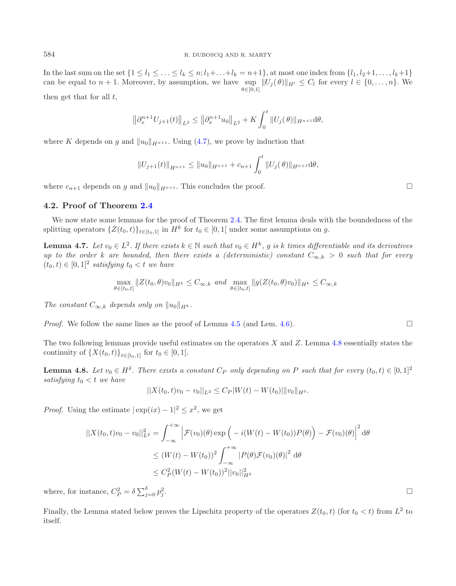In the last sum on the set  $\{1 \leq l_1 \leq \ldots \leq l_k \leq n; l_1+\ldots+l_k=n+1\}$ , at most one index from  $\{l_1, l_2+1, \ldots, l_k+1\}$ can be equal to  $n + 1$ . Moreover, by assumption, we have  $\sup_{\theta \in [0,1]} ||U_j(\theta)||_{H^l} \leq C_l$  for every  $l \in \{0,\ldots,n\}$ . We  $\theta \in [0,1]$ 

then get that for all  $t$ ,

<span id="page-12-1"></span>
$$
\left\|\partial_x^{n+1}U_{j+1}(t)\right\|_{L^2} \le \left\|\partial_x^{n+1}u_0\right\|_{L^2} + K\int_0^t \|U_j(\theta)\|_{H^{n+1}}d\theta,
$$

where K depends on g and  $||u_0||_{H^{n+1}}$ . Using [\(4.7\)](#page-11-2), we prove by induction that

$$
||U_{j+1}(t)||_{H^{n+1}} \leq ||u_0||_{H^{n+1}} + c_{n+1} \int_0^t ||U_j(\theta)||_{H^{n+1}} d\theta,
$$

where  $c_{n+1}$  depends on g and  $||u_0||_{H^{n+1}}$ . This concludes the proof.

#### **4.2. Proof of Theorem [2.4](#page-3-0)**

We now state some lemmas for the proof of Theorem [2.4.](#page-3-0) The first lemma deals with the boundedness of the splitting operators  $\{Z(t_0,t)\}_{t\in[t_0,1]}$  in  $H^k$  for  $t_0 \in [0,1]$  under some assumptions on g.

**Lemma 4.7.** *Let*  $v_0 \in L^2$ . If there exists  $k \in \mathbb{N}$  such that  $v_0 \in H^k$ , g is k times differentiable and its derivatives *up to the order* k are bounded, then there exists a (deterministic) constant  $C_{\infty,k} > 0$  *such that for every*  $(t_0, t) \in [0, 1]^2$  *satisfying*  $t_0 < t$  *we have* 

<span id="page-12-0"></span>
$$
\max_{\theta \in [t_0, t]} \|Z(t_0, \theta)v_0\|_{H^k} \le C_{\infty, k} \text{ and } \max_{\theta \in [t_0, t]} \|g(Z(t_0, \theta)v_0)\|_{H^k} \le C_{\infty, k}
$$

*The constant*  $C_{\infty,k}$  *depends only on*  $||u_0||_{H^k}$ .

*Proof.* We follow the same lines as the proof of Lemma [4.5](#page-11-0) (and Lem. [4.6\)](#page-11-1).

The two following lemmas provide useful estimates on the operators  $X$  and  $Z$ . Lemma [4.8](#page-12-0) essentially states the continuity of  $\{X(t_0,t)\}_{t\in[t_0,1]}$  for  $t_0 \in [0,1[$ .

**Lemma 4.8.** *Let*  $v_0 \in H^{\delta}$ *. There exists a constant*  $C_P$  *only depending on* P *such that for every*  $(t_0, t) \in [0, 1]^2$ *satisfying*  $t_0 < t$  *we have* 

$$
||X(t_0,t)v_0-v_0||_{L^2}\leq C_P|W(t)-W(t_0)||v_0||_{H^{\delta}}.
$$

<span id="page-12-2"></span>*Proof.* Using the estimate  $|\exp(ix) - 1|^2 \leq x^2$ , we get

$$
||X(t_0, t)v_0 - v_0||_{L^2}^2 = \int_{-\infty}^{+\infty} \left| \mathcal{F}(v_0)(\theta) \exp\left(-i(W(t) - W(t_0))P(\theta)\right) - \mathcal{F}(v_0)(\theta)\right|^2 d\theta
$$
  
\n
$$
\leq (W(t) - W(t_0))^2 \int_{-\infty}^{+\infty} |P(\theta)\mathcal{F}(v_0)(\theta)|^2 d\theta
$$
  
\n
$$
\leq C_P^2 (W(t) - W(t_0))^2 ||v_0||_{H^{\delta}}^2
$$

where, for instance,  $C_P^2 = \delta \sum_{j=0}^{o} p_j^2$  $\frac{2}{j}$ .

Finally, the Lemma stated below proves the Lipschitz property of the operators  $Z(t_0, t)$  (for  $t_0 < t$ ) from  $L^2$  to itself.

 $\Box$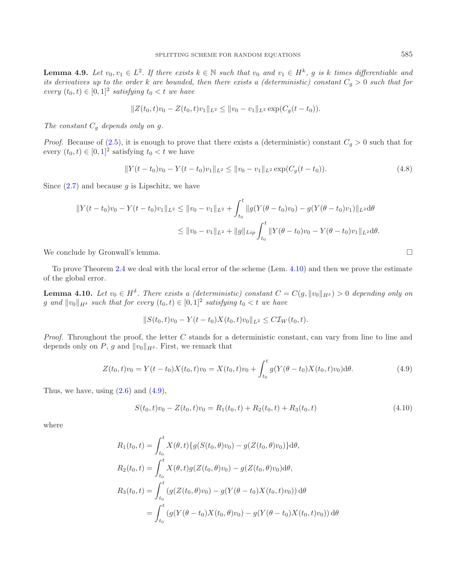**Lemma 4.9.** *Let*  $v_0, v_1 \in L^2$ . If there exists  $k \in \mathbb{N}$  such that  $v_0$  and  $v_1 \in H^k$ , g is k times differentiable and *its derivatives up to the order* k are bounded, then there exists a (deterministic) constant  $C_g > 0$  such that for  $every (t_0, t) \in [0, 1]^2$  *satisfying*  $t_0 < t$  *we have* 

$$
||Z(t_0,t)v_0 - Z(t_0,t)v_1||_{L^2} \le ||v_0 - v_1||_{L^2} \exp(C_g(t-t_0)).
$$

*The constant*  $C_q$  *depends only on g.* 

<span id="page-13-0"></span>*Proof.* Because of  $(2.5)$ , it is enough to prove that there exists a (deterministic) constant  $C_g > 0$  such that for every  $(t_0, t) \in [0, 1]^2$  satisfying  $t_0 < t$  we have

<span id="page-13-1"></span>
$$
||Y(t - t_0)v_0 - Y(t - t_0)v_1||_{L^2} \le ||v_0 - v_1||_{L^2} \exp(C_g(t - t_0)).
$$
\n(4.8)

<span id="page-13-3"></span>Since  $(2.7)$  and because g is Lipschitz, we have

$$
||Y(t - t_0)v_0 - Y(t - t_0)v_1||_{L^2} \le ||v_0 - v_1||_{L^2} + \int_{t_0}^t ||g(Y(\theta - t_0)v_0) - g(Y(\theta - t_0)v_1)||_{L^2}d\theta
$$
  

$$
\le ||v_0 - v_1||_{L^2} + ||g||_{Lip} \int_{t_0}^t ||Y(\theta - t_0)v_0 - Y(\theta - t_0)v_1||_{L^2}d\theta.
$$

We conclude by Gronwall's lemma.

To prove Theorem [2.4](#page-3-0) we deal with the local error of the scheme (Lem. [4.10\)](#page-13-0) and then we prove the estimate of the global error.

**Lemma 4.10.** *Let*  $v_0 \in H^{\delta}$ *. There exists a (deterministic) constant*  $C = C(g, ||v_0||_{H^{\delta}}) > 0$  *depending only on* g and  $||v_0||_{H^{\delta}}$  such that for every  $(t_0, t) \in [0, 1]^2$  satisfying  $t_0 < t$  we have

$$
||S(t_0,t)v_0 - Y(t-t_0)X(t_0,t)v_0||_{L^2} \leq C\mathcal{I}_W(t_0,t).
$$

*Proof.* Throughout the proof, the letter C stands for a deterministic constant, can vary from line to line and depends only on P, g and  $||v_0||_{H^{\delta}}$ . First, we remark that

$$
Z(t_0, t)v_0 = Y(t - t_0)X(t_0, t)v_0 = X(t_0, t)v_0 + \int_{t_0}^t g(Y(\theta - t_0)X(t_0, t)v_0)d\theta.
$$
\n(4.9)

<span id="page-13-2"></span>Thus, we have, using  $(2.6)$  and  $(4.9)$ ,

$$
S(t_0, t)v_0 - Z(t_0, t)v_0 = R_1(t_0, t) + R_2(t_0, t) + R_3(t_0, t)
$$
\n(4.10)

where

$$
R_1(t_0, t) = \int_{t_0}^t X(\theta, t) \{ g(S(t_0, \theta)v_0) - g(Z(t_0, \theta)v_0) \} d\theta,
$$
  
\n
$$
R_2(t_0, t) = \int_{t_0}^t X(\theta, t) g(Z(t_0, \theta)v_0) - g(Z(t_0, \theta)v_0) d\theta,
$$
  
\n
$$
R_3(t_0, t) = \int_{t_0}^t (g(Z(t_0, \theta)v_0) - g(Y(\theta - t_0)X(t_0, t)v_0)) d\theta
$$
  
\n
$$
= \int_{t_0}^t (g(Y(\theta - t_0)X(t_0, \theta)v_0) - g(Y(\theta - t_0)X(t_0, t)v_0)) d\theta
$$

$$
\Box
$$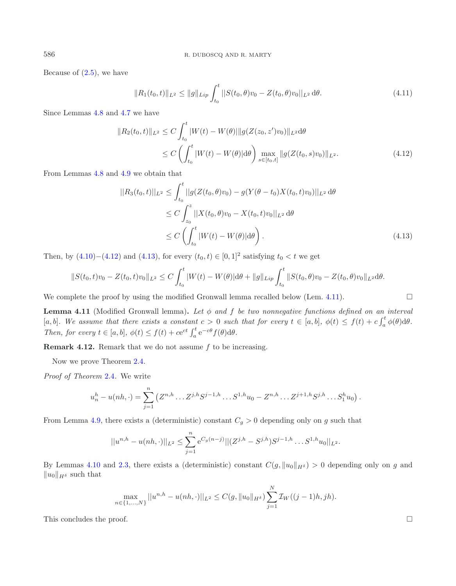Because of  $(2.5)$ , we have

$$
||R_1(t_0,t)||_{L^2} \le ||g||_{Lip} \int_{t_0}^t ||S(t_0,\theta)v_0 - Z(t_0,\theta)v_0||_{L^2} d\theta.
$$
 (4.11)

<span id="page-14-0"></span>Since Lemmas [4.8](#page-12-0) and [4.7](#page-12-1) we have

$$
||R_2(t_0, t)||_{L^2} \le C \int_{t_0}^t |W(t) - W(\theta)||g(Z(z_0, z')v_0)||_{L^2} d\theta
$$
  
 
$$
\le C \left(\int_{t_0}^t |W(t) - W(\theta)| d\theta\right) \max_{s \in [t_0, t]} ||g(Z(t_0, s)v_0)||_{L^2}.
$$
 (4.12)

<span id="page-14-1"></span>From Lemmas [4.8](#page-12-0) and [4.9](#page-12-2) we obtain that

$$
||R_3(t_0, t)||_{L^2} \le \int_{t_0}^t ||g(Z(t_0, \theta)v_0) - g(Y(\theta - t_0)X(t_0, t)v_0)||_{L^2} d\theta
$$
  
\n
$$
\le C \int_{z_0}^z ||X(t_0, \theta)v_0 - X(t_0, t)v_0||_{L^2} d\theta
$$
  
\n
$$
\le C \left(\int_{t_0}^t |W(t) - W(\theta)| d\theta\right).
$$
\n(4.13)

Then, by  $(4.10)–(4.12)$  $(4.10)–(4.12)$  $(4.10)–(4.12)$  and  $(4.13)$ , for every  $(t_0, t) \in [0, 1]^2$  satisfying  $t_0 < t$  we get

$$
||S(t_0,t)v_0 - Z(t_0,t)v_0||_{L^2} \leq C \int_{t_0}^t |W(t) - W(\theta)| d\theta + ||g||_{Lip} \int_{t_0}^t ||S(t_0,\theta)v_0 - Z(t_0,\theta)v_0||_{L^2} d\theta.
$$

<span id="page-14-2"></span>We complete the proof by using the modified Gronwall lemma recalled below (Lem. [4.11\)](#page-14-2).  $\Box$ 

**Lemma 4.11** (Modified Gronwall lemma)**.** *Let* φ *and* f *be two nonnegative functions defined on an interval* [a, b]. We assume that there exists a constant  $c > 0$  such that for every  $t \in [a, b]$ ,  $\phi(t) \leq f(t) + c \int_a^t \phi(\theta) d\theta$ .<br>Then for every  $t \in [a, b]$ ,  $\phi(t) \leq f(t) + c \int_a^t \phi(\theta) d\theta$ . *Then, for every*  $t \in [a, b]$ ,  $\phi(t) \leq f(t) + ce^{ct} \int_a^t e^{-c\theta} f(\theta) d\theta$ .

**Remark 4.12.** Remark that we do not assume f to be increasing.

Now we prove Theorem [2.4.](#page-3-0)

*Proof of Theorem* [2.4](#page-3-0)*.* We write

$$
u_n^h - u(nh, \cdot) = \sum_{j=1}^n \left( Z^{n,h} \dots Z^{j,h} S^{j-1,h} \dots S^{1,h} u_0 - Z^{n,h} \dots Z^{j+1,h} S^{j,h} \dots S_1^h u_0 \right).
$$

From Lemma [4.9,](#page-12-2) there exists a (deterministic) constant  $C_g > 0$  depending only on g such that

$$
||u^{n,h} - u(nh, \cdot)||_{L^2} \le \sum_{j=1}^n e^{C_g(n-j)}||(Z^{j,h} - S^{j,h})S^{j-1,h} \dots S^{1,h}u_0||_{L^2}.
$$

By Lemmas [4.10](#page-13-0) and [2.3,](#page-2-5) there exists a (deterministic) constant  $C(g, ||u_0||_{H<sup>\delta</sup>}) > 0$  depending only on g and  $||u_0||_{H^{\delta}}$  such that

$$
\max_{n \in \{1, ..., N\}} ||u^{n,h} - u(nh, \cdot)||_{L^2} \le C(g, ||u_0||_{H^{\delta}}) \sum_{j=1}^N \mathcal{I}_W((j-1)h, jh).
$$

This concludes the proof.  $\Box$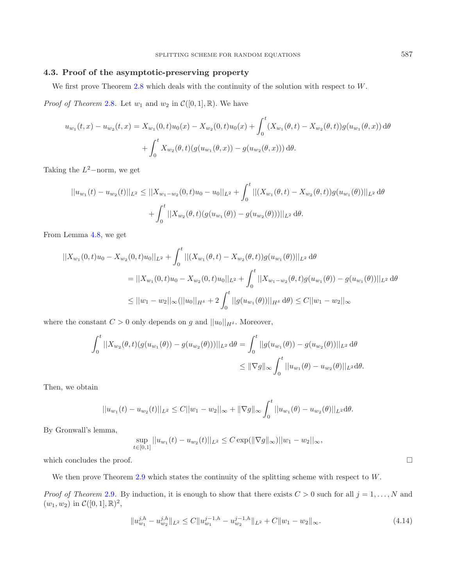# **4.3. Proof of the asymptotic-preserving property**

We first prove Theorem [2.8](#page-4-2) which deals with the continuity of the solution with respect to W.

*Proof of Theorem* [2.8](#page-4-2). Let  $w_1$  and  $w_2$  in  $\mathcal{C}([0,1],\mathbb{R})$ . We have

$$
u_{w_1}(t,x) - u_{w_2}(t,x) = X_{w_1}(0,t)u_0(x) - X_{w_2}(0,t)u_0(x) + \int_0^t (X_{w_1}(\theta, t) - X_{w_2}(\theta, t))g(u_{w_1}(\theta, x)) d\theta
$$

$$
+ \int_0^t X_{w_2}(\theta, t)(g(u_{w_1}(\theta, x)) - g(u_{w_2}(\theta, x))) d\theta.
$$

Taking the  $L^2$ –norm, we get

$$
||u_{w_1}(t) - u_{w_2}(t)||_{L^2} \le ||X_{w_1 - w_2}(0, t)u_0 - u_0||_{L^2} + \int_0^t ||(X_{w_1}(\theta, t) - X_{w_2}(\theta, t))g(u_{w_1}(\theta))||_{L^2} d\theta
$$
  
+ 
$$
\int_0^t ||X_{w_2}(\theta, t)(g(u_{w_1}(\theta)) - g(u_{w_2}(\theta)))||_{L^2} d\theta.
$$

From Lemma [4.8,](#page-12-0) we get

$$
||X_{w_1}(0,t)u_0 - X_{w_2}(0,t)u_0||_{L^2} + \int_0^t ||(X_{w_1}(\theta,t) - X_{w_2}(\theta,t))g(u_{w_1}(\theta))||_{L^2} d\theta
$$
  
\n
$$
= ||X_{w_1}(0,t)u_0 - X_{w_2}(0,t)u_0||_{L^2} + \int_0^t ||X_{w_1 - w_2}(\theta,t)g(u_{w_1}(\theta)) - g(u_{w_1}(\theta))||_{L^2} d\theta
$$
  
\n
$$
\leq ||w_1 - w_2||_{\infty} (||u_0||_{H^{\delta}} + 2 \int_0^t ||g(u_{w_1}(\theta))||_{H^{\delta}} d\theta \leq C ||w_1 - w_2||_{\infty}
$$

where the constant  $C > 0$  only depends on  $g$  and  $||u_0||_{H^{\delta}}$ . Moreover,

$$
\int_0^t ||X_{w_2}(\theta, t)(g(u_{w_1}(\theta)) - g(u_{w_2}(\theta)))||_{L^2} d\theta = \int_0^t ||g(u_{w_1}(\theta)) - g(u_{w_2}(\theta))||_{L^2} d\theta
$$
  

$$
\leq ||\nabla g||_{\infty} \int_0^t ||u_{w_1}(\theta) - u_{w_2}(\theta)||_{L^2} d\theta.
$$

Then, we obtain

$$
||u_{w_1}(t) - u_{w_2}(t)||_{L^2} \leq C||w_1 - w_2||_{\infty} + ||\nabla g||_{\infty} \int_0^t ||u_{w_1}(\theta) - u_{w_2}(\theta)||_{L^2} d\theta.
$$

By Gronwall's lemma,

$$
\sup_{t\in[0,1]}||u_{w_1}(t)-u_{w_2}(t)||_{L^2}\leq C \exp(||\nabla g||_{\infty})||w_1-w_2||_{\infty},
$$

which concludes the proof.

We then prove Theorem [2.9](#page-4-3) which states the continuity of the splitting scheme with respect to W.

*Proof of Theorem* [2.9](#page-4-3). By induction, it is enough to show that there exists  $C > 0$  such for all  $j = 1, ..., N$  and  $(w_1, w_2)$  in  $\mathcal{C}([0, 1], \mathbb{R})^2$ ,

$$
||u_{w_1}^{j,h} - u_{w_2}^{j,h}||_{L^2} \le C||u_{w_1}^{j-1,h} - u_{w_2}^{j-1,h}||_{L^2} + C||w_1 - w_2||_{\infty}.
$$
\n(4.14)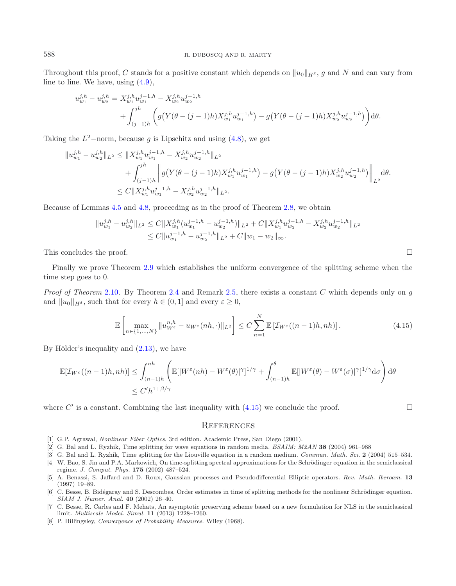Throughout this proof, C stands for a positive constant which depends on  $||u_0||_{H^{\delta}}$ , g and N and can vary from line to line. We have, using [\(4.9\)](#page-13-1),

$$
u_{w_1}^{j,h} - u_{w_2}^{j,h} = X_{w_1}^{j,h} u_{w_1}^{j-1,h} - X_{w_2}^{j,h} u_{w_2}^{j-1,h}
$$
  
+ 
$$
\int_{(j-1)h}^{jh} \left( g(Y(\theta - (j-1)h)X_{w_1}^{j,h} u_{w_1}^{j-1,h}) - g(Y(\theta - (j-1)h)X_{w_2}^{j,h} u_{w_2}^{j-1,h}) \right) d\theta.
$$

Taking the  $L^2$ –norm, because q is Lipschitz and using [\(4.8\)](#page-13-3), we get

$$
||u_{w_1}^{j,h} - u_{w_2}^{j,h}||_{L^2} \le ||X_{w_1}^{j,h}u_{w_1}^{j-1,h} - X_{w_2}^{j,h}u_{w_2}^{j-1,h}||_{L^2} + \int_{(j-1)h}^{jh} \left\| g(Y(\theta - (j-1)h)X_{w_1}^{j,h}u_{w_1}^{j-1,h}) - g(Y(\theta - (j-1)h)X_{w_2}^{j,h}u_{w_2}^{j-1,h}) \right\|_{L^2} d\theta.
$$
  

$$
\le C ||X_{w_1}^{j,h}u_{w_1}^{j-1,h} - X_{w_2}^{j,h}u_{w_2}^{j-1,h}||_{L^2}.
$$

Because of Lemmas [4.5](#page-11-0) and [4.8,](#page-12-0) proceeding as in the proof of Theorem [2.8,](#page-4-2) we obtain

$$
||u_{w_1}^{j,h} - u_{w_2}^{j,h}||_{L^2} \leq C||X_{w_1}^{j,h}(u_{w_1}^{j-1,h} - u_{w_2}^{j-1,h})||_{L^2} + C||X_{w_1}^{j,h}u_{w_2}^{j-1,h} - X_{w_2}^{j,h}u_{w_2}^{j-1,h}||_{L^2}
$$
  

$$
\leq C||u_{w_1}^{j-1,h} - u_{w_2}^{j-1,h}||_{L^2} + C||w_1 - w_2||_{\infty}.
$$

This concludes the proof.  $\Box$ 

Finally we prove Theorem [2.9](#page-4-3) which establishes the uniform convergence of the splitting scheme when the time step goes to 0.

*Proof of Theorem* [2.10](#page-4-1)*.* By Theorem [2.4](#page-3-0) and Remark [2.5,](#page-3-3) there exists a constant C which depends only on g and  $||u_0||_{H^{\delta}}$ , such that for every  $h \in (0,1]$  and every  $\varepsilon \geq 0$ ,

$$
\mathbb{E}\left[\max_{n\in\{1,\ldots,N\}}\|u_{W^{\varepsilon}}^{n,h}-u_{W^{\varepsilon}}(nh,\cdot)\|_{L^{2}}\right]\leq C\sum_{n=1}^{N}\mathbb{E}\left[\mathcal{I}_{W^{\varepsilon}}((n-1)h,nh)\right].\tag{4.15}
$$

<span id="page-16-6"></span>By Hölder's inequality and  $(2.13)$ , we have

$$
\mathbb{E}[\mathcal{I}_{W^{\varepsilon}}((n-1)h,nh)] \leq \int_{(n-1)h}^{nh} \left( \mathbb{E}[|W^{\varepsilon}(nh) - W^{\varepsilon}(\theta)|^{\gamma}]^{1/\gamma} + \int_{(n-1)h}^{\theta} \mathbb{E}[|W^{\varepsilon}(\theta) - W^{\varepsilon}(\sigma)|^{\gamma}]^{1/\gamma} d\sigma \right) d\theta
$$
  

$$
\leq C'h^{1+\beta/\gamma}
$$

where C' is a constant. Combining the last inequality with  $(4.15)$  we conclude the proof.  $\Box$ 

#### **REFERENCES**

- [1] G.P. Agrawal, *Nonlinear Fiber Optics*, 3rd edition. Academic Press, San Diego (2001).
- <span id="page-16-2"></span>[2] G. Bal and L. Ryzhik, Time splitting for wave equations in random media. *ESAIM: M2AN* **38** (2004) 961–988
- <span id="page-16-3"></span>[3] G. Bal and L. Ryzhik, Time splitting for the Liouville equation in a random medium. *Commun. Math. Sci.* **2** (2004) 515–534.
- <span id="page-16-1"></span>[4] W. Bao, S. Jin and P.A. Markowich, On time-splitting spectral approximations for the Schrödinger equation in the semiclassical regime. *J. Comput. Phys.* **175** (2002) 487–524.
- <span id="page-16-5"></span>[5] A. Benassi, S. Jaffard and D. Roux, Gaussian processes and Pseudodifferential Elliptic operators. *Rev. Math. Iberoam.* **13** (1997) 19–89.
- <span id="page-16-0"></span>[6] C. Besse, B. Bidégaray and S. Descombes, Order estimates in time of splitting methods for the nonlinear Schrödinger equation. *SIAM J. Numer. Anal.* **40** (2002) 26–40.
- <span id="page-16-4"></span>[7] C. Besse, R. Carles and F. Mehats, An asymptotic preserving scheme based on a new formulation for NLS in the semiclassical limit. *Multiscale Model. Simul.* **11** (2013) 1228–1260.
- [8] P. Billingsley, *Convergence of Probability Measures*. Wiley (1968).